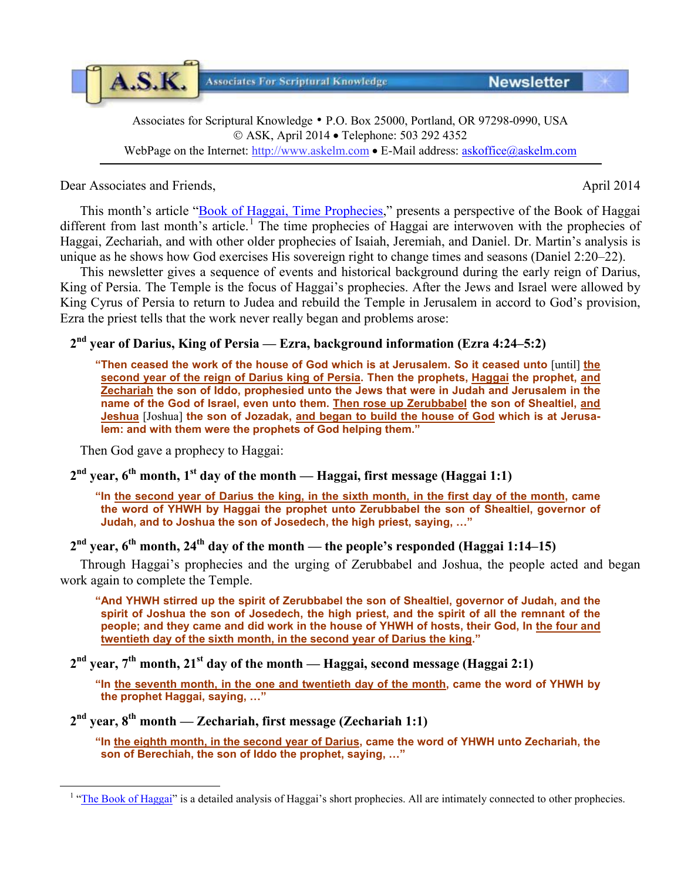Associates for Scriptural Knowledge • P.O. Box 25000, Portland, OR 97298-0990, USA ASK, April 2014 • Telephone: 503 292 4352 WebPage on the Internet: [http://www.askelm.com](http://www.askelm.com/) • E-Mail address: [askoffice@askelm.com](mailto:askoffice@askelm.com)

Dear Associates and Friends, April 2014

A.S.K.

This month's article ["Book of Haggai, Time Prophecies,](http://askelm.com/prophecy/p140401.PDF)" presents a perspective of the Book of Haggai different from last month's article.<sup>[1](#page-0-0)</sup> The time prophecies of Haggai are interwoven with the prophecies of Haggai, Zechariah, and with other older prophecies of Isaiah, Jeremiah, and Daniel. Dr. Martin's analysis is unique as he shows how God exercises His sovereign right to change times and seasons (Daniel 2:20–22).

This newsletter gives a sequence of events and historical background during the early reign of Darius, King of Persia. The Temple is the focus of Haggai's prophecies. After the Jews and Israel were allowed by King Cyrus of Persia to return to Judea and rebuild the Temple in Jerusalem in accord to God's provision, Ezra the priest tells that the work never really began and problems arose:

## **2nd year of Darius, King of Persia — Ezra, background information (Ezra 4:24–5:2)**

**"Then ceased the work of the house of God which is at Jerusalem. So it ceased unto** [until] **the second year of the reign of Darius king of Persia. Then the prophets, Haggai the prophet, and Zechariah the son of Iddo, prophesied unto the Jews that were in Judah and Jerusalem in the name of the God of Israel, even unto them. Then rose up Zerubbabel the son of Shealtiel, and Jeshua** [Joshua] **the son of Jozadak, and began to build the house of God which is at Jerusalem: and with them were the prophets of God helping them."**

Then God gave a prophecy to Haggai:

<span id="page-0-0"></span> $\overline{a}$ 

## **2nd year, 6th month, 1st day of the month — Haggai, first message (Haggai 1:1)**

**"In the second year of Darius the king, in the sixth month, in the first day of the month, came the word of YHWH by Haggai the prophet unto Zerubbabel the son of Shealtiel, governor of Judah, and to Joshua the son of Josedech, the high priest, saying, …"**

## $2<sup>nd</sup>$  **year, 6<sup>th</sup>** month, 24<sup>th</sup> day of the month — the people's responded (Haggai 1:14–15)

Through Haggai's prophecies and the urging of Zerubbabel and Joshua, the people acted and began work again to complete the Temple.

**"And YHWH stirred up the spirit of Zerubbabel the son of Shealtiel, governor of Judah, and the spirit of Joshua the son of Josedech, the high priest, and the spirit of all the remnant of the people; and they came and did work in the house of YHWH of hosts, their God, In the four and twentieth day of the sixth month, in the second year of Darius the king."**

**2nd year, 7th month, 21st day of the month — Haggai, second message (Haggai 2:1)**

**"In the seventh month, in the one and twentieth day of the month, came the word of YHWH by the prophet Haggai, saying, …"**

**2nd year, 8th month — Zechariah, first message (Zechariah 1:1)**

**"In the eighth month, in the second year of Darius, came the word of YHWH unto Zechariah, the son of Berechiah, the son of Iddo the prophet, saying, …"**

**Newsletter** 

**Associates For Scriptural Knowledge** 

<sup>&</sup>lt;sup>1</sup> ["The Book of Haggai"](http://askelm.com/prophecy/p140301.PDF) is a detailed analysis of Haggai's short prophecies. All are intimately connected to other prophecies.